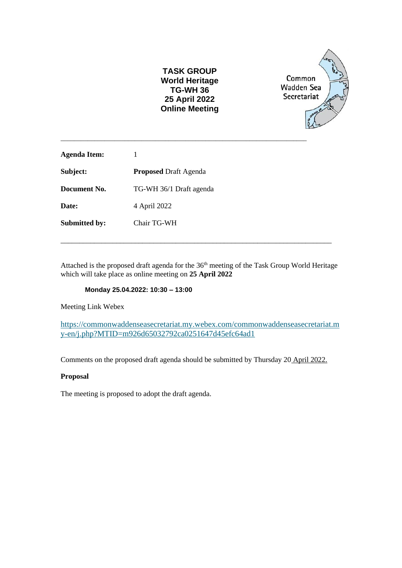| <b>TASK GROUP</b>     |
|-----------------------|
| World Heritage        |
| <b>TG-WH 36</b>       |
| 25 April 2022         |
| <b>Online Meeting</b> |



| 1                            |
|------------------------------|
| <b>Proposed Draft Agenda</b> |
| TG-WH 36/1 Draft agenda      |
| 4 April 2022                 |
| Chair TG-WH                  |
|                              |

\_\_\_\_\_\_\_\_\_\_\_\_\_\_\_\_\_\_\_\_\_\_\_\_\_\_\_\_\_\_\_\_\_\_\_\_\_\_\_\_\_\_\_\_\_\_\_\_\_\_\_\_\_\_\_\_\_\_\_\_\_\_\_\_\_\_\_\_\_\_\_\_\_

Attached is the proposed draft agenda for the 36<sup>th</sup> meeting of the Task Group World Heritage which will take place as online meeting on **25 April 2022**

\_\_\_\_\_\_\_\_\_\_\_\_\_\_\_\_\_\_\_\_\_\_\_\_\_\_\_\_\_\_\_\_\_\_\_\_\_\_\_\_\_\_\_\_\_\_\_\_\_\_\_\_\_\_\_\_\_\_\_\_\_\_\_\_\_\_\_\_\_\_\_\_\_

#### **Monday 25.04.2022: 10:30 – 13:00**

Meeting Link Webex

[https://commonwaddenseasecretariat.my.webex.com/commonwaddenseasecretariat.m](https://commonwaddenseasecretariat.my.webex.com/commonwaddenseasecretariat.my-en/j.php?MTID=m926d65032792ca0251647d45efc64ad1) [y-en/j.php?MTID=m926d65032792ca0251647d45efc64ad1](https://commonwaddenseasecretariat.my.webex.com/commonwaddenseasecretariat.my-en/j.php?MTID=m926d65032792ca0251647d45efc64ad1)

Comments on the proposed draft agenda should be submitted by Thursday 20 April 2022.

#### **Proposal**

The meeting is proposed to adopt the draft agenda.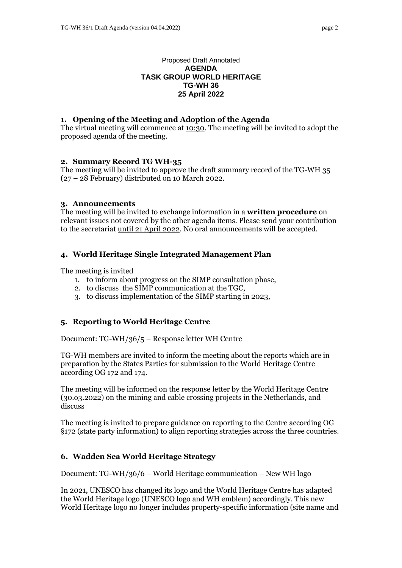#### Proposed Draft Annotated **AGENDA TASK GROUP WORLD HERITAGE TG-WH 36 25 April 2022**

## **1. Opening of the Meeting and Adoption of the Agenda**

The virtual meeting will commence at 10:30. The meeting will be invited to adopt the proposed agenda of the meeting.

## **2. Summary Record TG WH-35**

The meeting will be invited to approve the draft summary record of the TG-WH 35 (27 – 28 February) distributed on 10 March 2022.

### **3. Announcements**

The meeting will be invited to exchange information in a **written procedure** on relevant issues not covered by the other agenda items. Please send your contribution to the secretariat until 21 April 2022. No oral announcements will be accepted.

## **4. World Heritage Single Integrated Management Plan**

The meeting is invited

- 1. to inform about progress on the SIMP consultation phase,
- 2. to discuss the SIMP communication at the TGC,
- 3. to discuss implementation of the SIMP starting in 2023,

# **5. Reporting to World Heritage Centre**

Document: TG-WH/36/5 – Response letter WH Centre

TG-WH members are invited to inform the meeting about the reports which are in preparation by the States Parties for submission to the World Heritage Centre according OG 172 and 174.

The meeting will be informed on the response letter by the World Heritage Centre (30.o3.2022) on the mining and cable crossing projects in the Netherlands, and discuss

The meeting is invited to prepare guidance on reporting to the Centre according OG §172 (state party information) to align reporting strategies across the three countries.

# **6. Wadden Sea World Heritage Strategy**

Document: TG-WH/36/6 – World Heritage communication – New WH logo

In 2021, UNESCO has changed its logo and the World Heritage Centre has adapted the World Heritage logo (UNESCO logo and WH emblem) accordingly. This new World Heritage logo no longer includes property-specific information (site name and